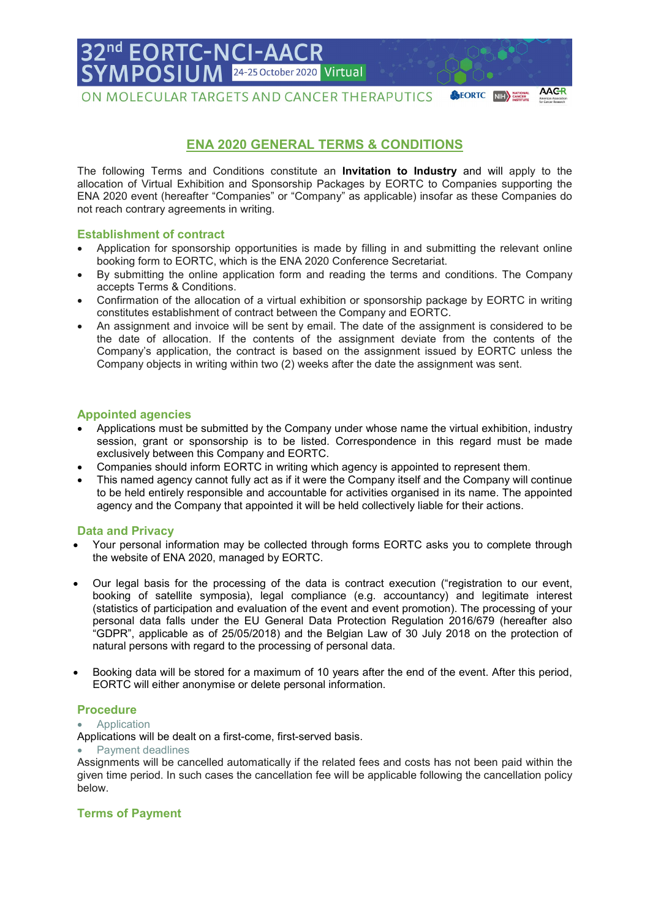# **FORTC-N** 24-25 October 2020 Virtual

ON MOLECULAR TARGETS AND CANCER THERAPUTICS

## **ENA 2020 GENERAL TERMS & CONDITIONS**

**AAGR** 

**SEORTC** NIH CANCER

The following Terms and Conditions constitute an **Invitation to Industry** and will apply to the allocation of Virtual Exhibition and Sponsorship Packages by EORTC to Companies supporting the ENA 2020 event (hereafter "Companies" or "Company" as applicable) insofar as these Companies do not reach contrary agreements in writing.

## **Establishment of contract**

- Application for sponsorship opportunities is made by filling in and submitting the relevant online booking form to EORTC, which is the ENA 2020 Conference Secretariat.
- By submitting the online application form and reading the terms and conditions. The Company accepts Terms & Conditions.
- Confirmation of the allocation of a virtual exhibition or sponsorship package by EORTC in writing constitutes establishment of contract between the Company and EORTC.
- An assignment and invoice will be sent by email. The date of the assignment is considered to be the date of allocation. If the contents of the assignment deviate from the contents of the Company's application, the contract is based on the assignment issued by EORTC unless the Company objects in writing within two (2) weeks after the date the assignment was sent.

## **Appointed agencies**

- Applications must be submitted by the Company under whose name the virtual exhibition, industry session, grant or sponsorship is to be listed. Correspondence in this regard must be made exclusively between this Company and EORTC.
- Companies should inform EORTC in writing which agency is appointed to represent them.
- This named agency cannot fully act as if it were the Company itself and the Company will continue to be held entirely responsible and accountable for activities organised in its name. The appointed agency and the Company that appointed it will be held collectively liable for their actions.

## **Data and Privacy**

- Your personal information may be collected through forms EORTC asks you to complete through the website of ENA 2020, managed by EORTC.
- Our legal basis for the processing of the data is contract execution ("registration to our event, booking of satellite symposia), legal compliance (e.g. accountancy) and legitimate interest (statistics of participation and evaluation of the event and event promotion). The processing of your personal data falls under the EU General Data Protection Regulation 2016/679 (hereafter also "GDPR", applicable as of 25/05/2018) and the Belgian Law of 30 July 2018 on the protection of natural persons with regard to the processing of personal data.
- Booking data will be stored for a maximum of 10 years after the end of the event. After this period, EORTC will either anonymise or delete personal information.

## **Procedure**

**Application** 

Applications will be dealt on a first-come, first-served basis.

#### • Payment deadlines

Assignments will be cancelled automatically if the related fees and costs has not been paid within the given time period. In such cases the cancellation fee will be applicable following the cancellation policy below.

## **Terms of Payment**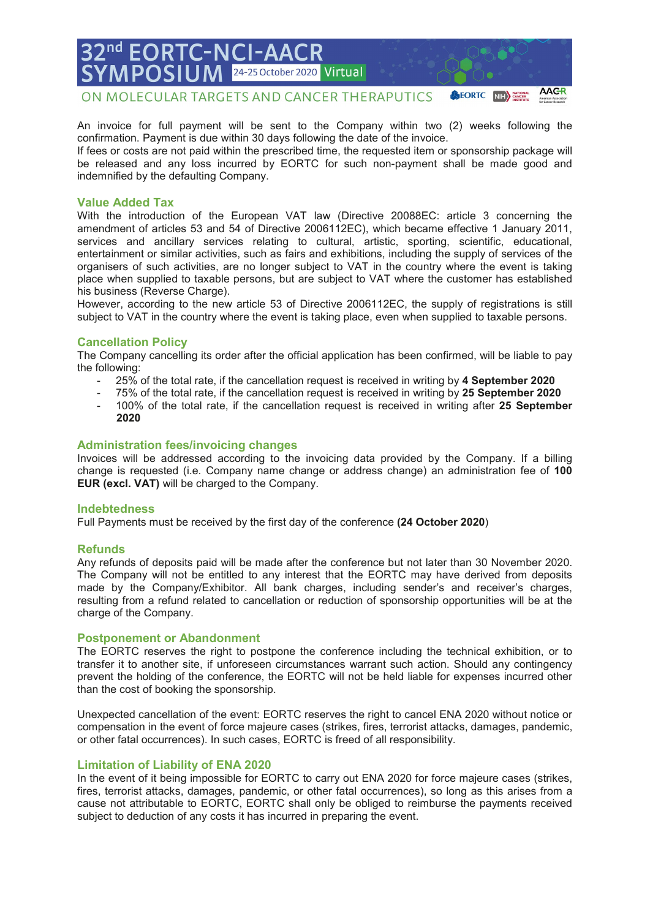ON MOLECULAR TARGETS AND CANCER THERAPUTICS

24-25 October 2020

An invoice for full payment will be sent to the Company within two (2) weeks following the confirmation. Payment is due within 30 days following the date of the invoice. If fees or costs are not paid within the prescribed time, the requested item or sponsorship package will be released and any loss incurred by EORTC for such non-payment shall be made good and

Virtual

**AAGR** 

**SEORTC** NIH >

indemnified by the defaulting Company.

**FORTC-N** 

#### **Value Added Tax**

With the introduction of the European VAT law (Directive 20088EC: article 3 concerning the amendment of articles 53 and 54 of Directive 2006112EC), which became effective 1 January 2011, services and ancillary services relating to cultural, artistic, sporting, scientific, educational, entertainment or similar activities, such as fairs and exhibitions, including the supply of services of the organisers of such activities, are no longer subject to VAT in the country where the event is taking place when supplied to taxable persons, but are subject to VAT where the customer has established his business (Reverse Charge).

However, according to the new article 53 of Directive 2006112EC, the supply of registrations is still subject to VAT in the country where the event is taking place, even when supplied to taxable persons.

#### **Cancellation Policy**

The Company cancelling its order after the official application has been confirmed, will be liable to pay the following:

- 25% of the total rate, if the cancellation request is received in writing by **4 September 2020**
- 75% of the total rate, if the cancellation request is received in writing by **25 September 2020**
- 100% of the total rate, if the cancellation request is received in writing after **25 September 2020**

#### **Administration fees/invoicing changes**

Invoices will be addressed according to the invoicing data provided by the Company. If a billing change is requested (i.e. Company name change or address change) an administration fee of **100 EUR (excl. VAT)** will be charged to the Company.

#### **Indebtedness**

Full Payments must be received by the first day of the conference **(24 October 2020**)

#### **Refunds**

Any refunds of deposits paid will be made after the conference but not later than 30 November 2020. The Company will not be entitled to any interest that the EORTC may have derived from deposits made by the Company/Exhibitor. All bank charges, including sender's and receiver's charges, resulting from a refund related to cancellation or reduction of sponsorship opportunities will be at the charge of the Company.

#### **Postponement or Abandonment**

The EORTC reserves the right to postpone the conference including the technical exhibition, or to transfer it to another site, if unforeseen circumstances warrant such action. Should any contingency prevent the holding of the conference, the EORTC will not be held liable for expenses incurred other than the cost of booking the sponsorship.

Unexpected cancellation of the event: EORTC reserves the right to cancel ENA 2020 without notice or compensation in the event of force majeure cases (strikes, fires, terrorist attacks, damages, pandemic, or other fatal occurrences). In such cases, EORTC is freed of all responsibility.

#### **Limitation of Liability of ENA 2020**

In the event of it being impossible for EORTC to carry out ENA 2020 for force majeure cases (strikes, fires, terrorist attacks, damages, pandemic, or other fatal occurrences), so long as this arises from a cause not attributable to EORTC, EORTC shall only be obliged to reimburse the payments received subject to deduction of any costs it has incurred in preparing the event.